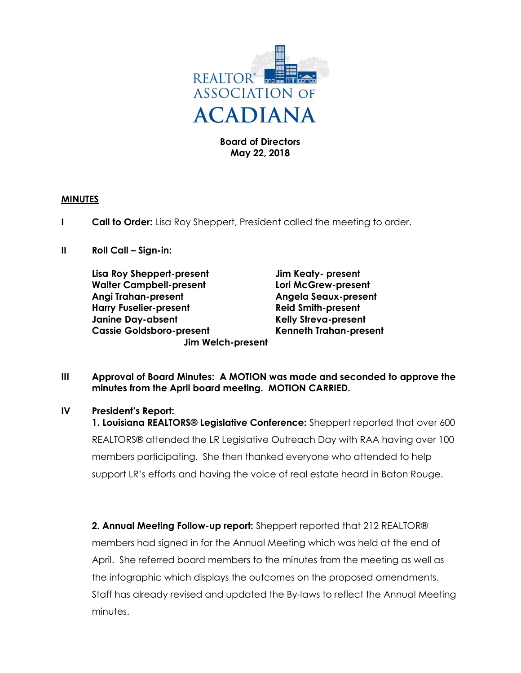

## Board of Directors May 22, 2018

## MINUTES

- **I Call to Order:** Lisa Roy Sheppert, President called the meeting to order.
- II Roll Call Sign-in:

Lisa Roy Sheppert-present Jim Keaty- present Walter Campbell-present Lori McGrew-present Angi Trahan-present Angela Seaux-present Harry Fuselier-present **Reid Smith-present** Janine Day-absent The Relly Streva-present Cassie Goldsboro-present Kenneth Trahan-present Jim Welch-present

III Approval of Board Minutes: A MOTION was made and seconded to approve the minutes from the April board meeting. MOTION CARRIED.

# IV President's Report:

1. Louisiana REALTORS® Legislative Conference: Sheppert reported that over 600 REALTORS® attended the LR Legislative Outreach Day with RAA having over 100 members participating. She then thanked everyone who attended to help support LR's efforts and having the voice of real estate heard in Baton Rouge.

2. Annual Meeting Follow-up report: Sheppert reported that 212 REALTOR® members had signed in for the Annual Meeting which was held at the end of April. She referred board members to the minutes from the meeting as well as the infographic which displays the outcomes on the proposed amendments. Staff has already revised and updated the By-laws to reflect the Annual Meeting minutes.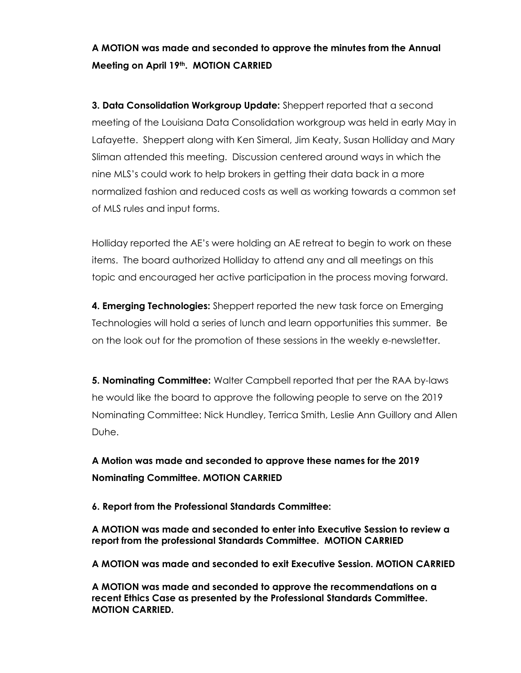# A MOTION was made and seconded to approve the minutes from the Annual Meeting on April 19th. MOTION CARRIED

**3. Data Consolidation Workgroup Update:** Sheppert reported that a second meeting of the Louisiana Data Consolidation workgroup was held in early May in Lafayette. Sheppert along with Ken Simeral, Jim Keaty, Susan Holliday and Mary Sliman attended this meeting. Discussion centered around ways in which the nine MLS's could work to help brokers in getting their data back in a more normalized fashion and reduced costs as well as working towards a common set of MLS rules and input forms.

Holliday reported the AE's were holding an AE retreat to begin to work on these items. The board authorized Holliday to attend any and all meetings on this topic and encouraged her active participation in the process moving forward.

**4. Emerging Technologies:** Sheppert reported the new task force on Emerging Technologies will hold a series of lunch and learn opportunities this summer. Be on the look out for the promotion of these sessions in the weekly e-newsletter.

5. Nominating Committee: Walter Campbell reported that per the RAA by-laws he would like the board to approve the following people to serve on the 2019 Nominating Committee: Nick Hundley, Terrica Smith, Leslie Ann Guillory and Allen Duhe.

A Motion was made and seconded to approve these names for the 2019 Nominating Committee. MOTION CARRIED

6. Report from the Professional Standards Committee:

A MOTION was made and seconded to enter into Executive Session to review a report from the professional Standards Committee. MOTION CARRIED

A MOTION was made and seconded to exit Executive Session. MOTION CARRIED

A MOTION was made and seconded to approve the recommendations on a recent Ethics Case as presented by the Professional Standards Committee. MOTION CARRIED.